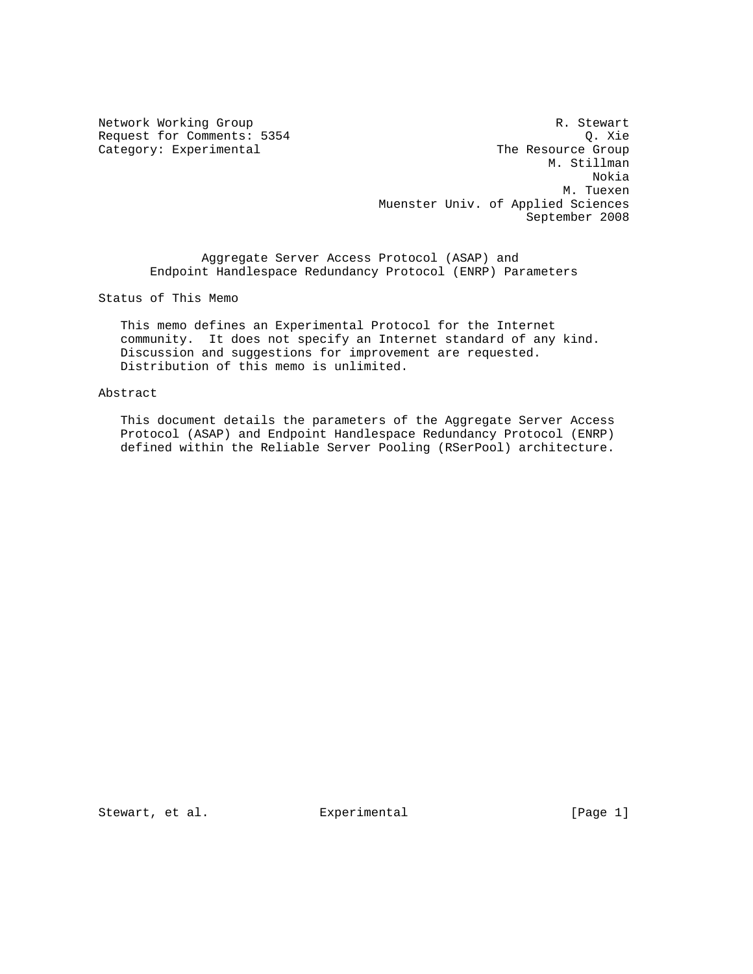Category: Experimental

Network Working Group **R. Stewart** Request for Comments: 5354 Q. Xie<br>
Category: Experimental Category: The Resource Group M. Stillman Nokia M. Tuexen Muenster Univ. of Applied Sciences September 2008

 Aggregate Server Access Protocol (ASAP) and Endpoint Handlespace Redundancy Protocol (ENRP) Parameters

Status of This Memo

 This memo defines an Experimental Protocol for the Internet community. It does not specify an Internet standard of any kind. Discussion and suggestions for improvement are requested. Distribution of this memo is unlimited.

# Abstract

 This document details the parameters of the Aggregate Server Access Protocol (ASAP) and Endpoint Handlespace Redundancy Protocol (ENRP) defined within the Reliable Server Pooling (RSerPool) architecture.

Stewart, et al. **Experimental** [Page 1]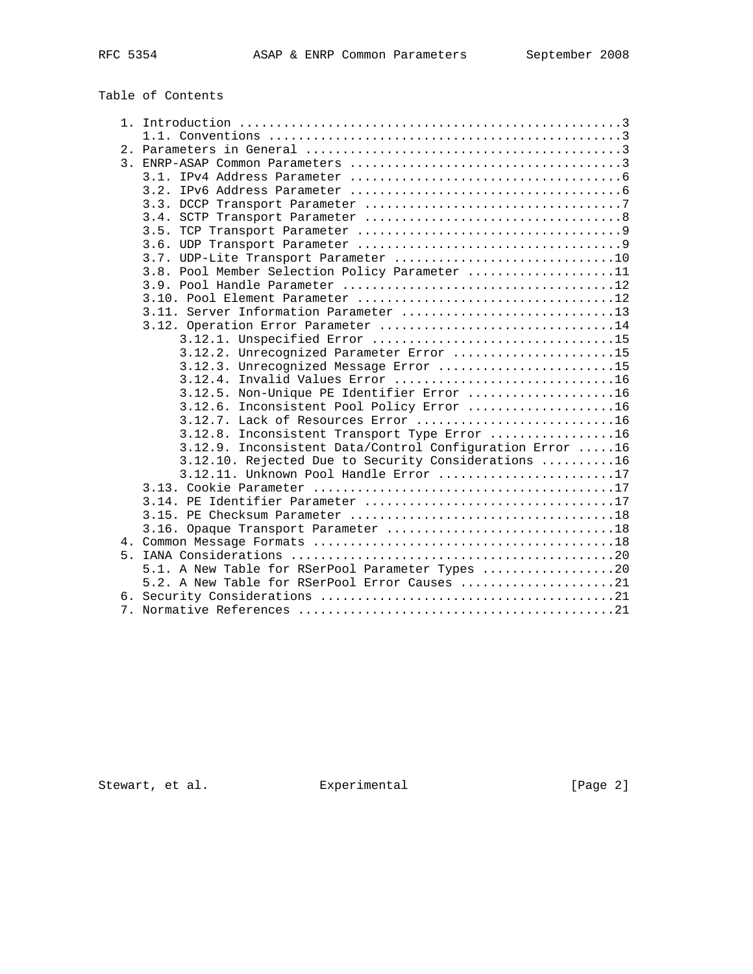# Table of Contents

|  | 1.1. Conventions $\dots\dots\dots\dots\dots\dots\dots\dots\dots\dots\dots\dots\dots\dots\dots\dots$ |
|--|-----------------------------------------------------------------------------------------------------|
|  |                                                                                                     |
|  |                                                                                                     |
|  |                                                                                                     |
|  |                                                                                                     |
|  |                                                                                                     |
|  |                                                                                                     |
|  |                                                                                                     |
|  |                                                                                                     |
|  |                                                                                                     |
|  | 3.8. Pool Member Selection Policy Parameter 11                                                      |
|  |                                                                                                     |
|  |                                                                                                     |
|  | 3.11. Server Information Parameter 13                                                               |
|  | 3.12. Operation Error Parameter 14                                                                  |
|  |                                                                                                     |
|  | 3.12.2. Unrecognized Parameter Error 15                                                             |
|  | 3.12.3. Unrecognized Message Error 15                                                               |
|  |                                                                                                     |
|  | 3.12.5. Non-Unique PE Identifier Error 16                                                           |
|  | 3.12.6. Inconsistent Pool Policy Error 16                                                           |
|  |                                                                                                     |
|  | 3.12.8. Inconsistent Transport Type Error 16                                                        |
|  | 3.12.9. Inconsistent Data/Control Configuration Error 16                                            |
|  | 3.12.10. Rejected Due to Security Considerations 16                                                 |
|  | 3.12.11. Unknown Pool Handle Error 17                                                               |
|  |                                                                                                     |
|  |                                                                                                     |
|  |                                                                                                     |
|  |                                                                                                     |
|  |                                                                                                     |
|  |                                                                                                     |
|  | 5.1. A New Table for RSerPool Parameter Types 20                                                    |
|  | 5.2. A New Table for RSerPool Error Causes 21                                                       |
|  |                                                                                                     |
|  |                                                                                                     |

Stewart, et al. Experimental [Page 2]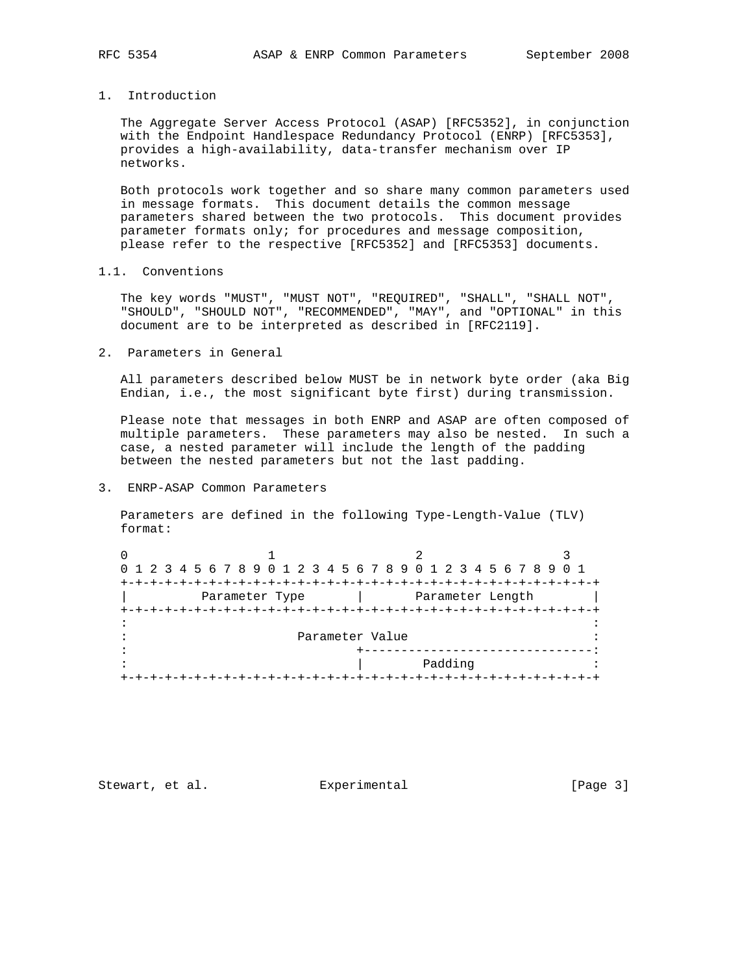1. Introduction

 The Aggregate Server Access Protocol (ASAP) [RFC5352], in conjunction with the Endpoint Handlespace Redundancy Protocol (ENRP) [RFC5353], provides a high-availability, data-transfer mechanism over IP networks.

 Both protocols work together and so share many common parameters used in message formats. This document details the common message parameters shared between the two protocols. This document provides parameter formats only; for procedures and message composition, please refer to the respective [RFC5352] and [RFC5353] documents.

1.1. Conventions

 The key words "MUST", "MUST NOT", "REQUIRED", "SHALL", "SHALL NOT", "SHOULD", "SHOULD NOT", "RECOMMENDED", "MAY", and "OPTIONAL" in this document are to be interpreted as described in [RFC2119].

2. Parameters in General

 All parameters described below MUST be in network byte order (aka Big Endian, i.e., the most significant byte first) during transmission.

 Please note that messages in both ENRP and ASAP are often composed of multiple parameters. These parameters may also be nested. In such a case, a nested parameter will include the length of the padding between the nested parameters but not the last padding.

3. ENRP-ASAP Common Parameters

 Parameters are defined in the following Type-Length-Value (TLV) format:

| 0 1 2 3 4 5 6 7 8 9 0 1 2 3 4 5 6 7 8 9 0 1 2 3 4 5 6 7 8 9 0 1 |                 |                  |  |
|-----------------------------------------------------------------|-----------------|------------------|--|
|                                                                 |                 |                  |  |
| Parameter Type                                                  |                 | Parameter Length |  |
|                                                                 |                 |                  |  |
|                                                                 |                 |                  |  |
|                                                                 | Parameter Value |                  |  |
|                                                                 |                 |                  |  |
|                                                                 |                 | Padding          |  |
|                                                                 |                 |                  |  |

Stewart, et al. Experimental [Page 3]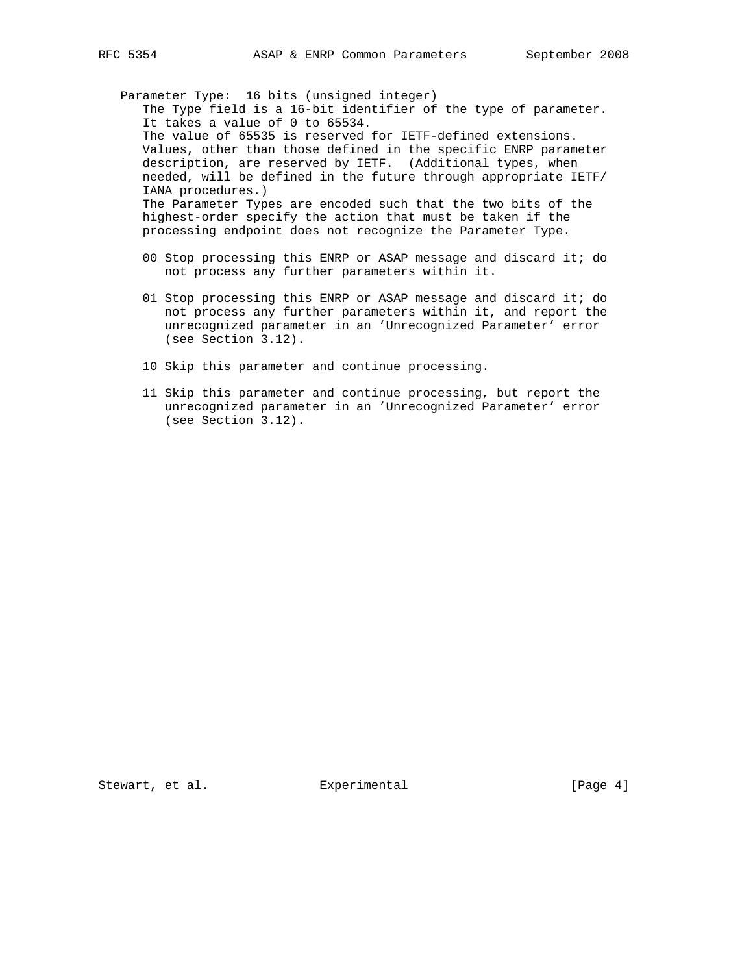Parameter Type: 16 bits (unsigned integer) The Type field is a 16-bit identifier of the type of parameter. It takes a value of 0 to 65534. The value of 65535 is reserved for IETF-defined extensions. Values, other than those defined in the specific ENRP parameter description, are reserved by IETF. (Additional types, when needed, will be defined in the future through appropriate IETF/ IANA procedures.) The Parameter Types are encoded such that the two bits of the highest-order specify the action that must be taken if the processing endpoint does not recognize the Parameter Type.

- 00 Stop processing this ENRP or ASAP message and discard it; do not process any further parameters within it.
- 01 Stop processing this ENRP or ASAP message and discard it; do not process any further parameters within it, and report the unrecognized parameter in an 'Unrecognized Parameter' error (see Section 3.12).
- 10 Skip this parameter and continue processing.
- 11 Skip this parameter and continue processing, but report the unrecognized parameter in an 'Unrecognized Parameter' error (see Section 3.12).

Stewart, et al. Experimental [Page 4]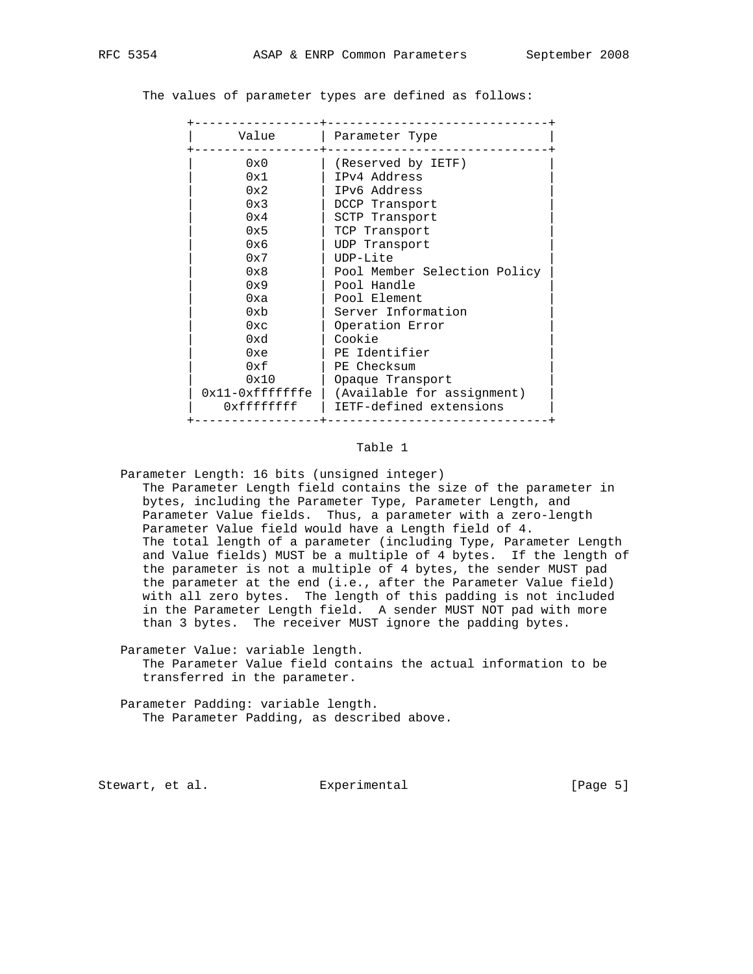The values of parameter types are defined as follows:

| Value           | Parameter Type               |
|-----------------|------------------------------|
| 0x0             | (Reserved by IETF)           |
| 0x1             | IPv4 Address                 |
| 0x2             | IPv6 Address                 |
| 0x3             | DCCP Transport               |
| 0x4             | SCTP Transport               |
| 0x5             | TCP Transport                |
| 0x6             | UDP Transport                |
| 0x7             | $UDP-Lite$                   |
| 0x8             | Pool Member Selection Policy |
| 0x9             | Pool Handle                  |
| 0xa             | Pool Element                 |
| 0xb             | Server Information           |
| $0 \times c$    | Operation Error              |
| 0xd             | Cookie                       |
| 0xe             | PE Identifier                |
| 0xf             | PE Checksum                  |
| 0x10            | Opaque Transport             |
| 0x11-0xfffffffe | (Available for assignment)   |
| 0xffffffff      | IETF-defined extensions      |

#### Table 1

 Parameter Length: 16 bits (unsigned integer) The Parameter Length field contains the size of the parameter in bytes, including the Parameter Type, Parameter Length, and Parameter Value fields. Thus, a parameter with a zero-length Parameter Value field would have a Length field of 4. The total length of a parameter (including Type, Parameter Length and Value fields) MUST be a multiple of 4 bytes. If the length of the parameter is not a multiple of 4 bytes, the sender MUST pad the parameter at the end (i.e., after the Parameter Value field) with all zero bytes. The length of this padding is not included in the Parameter Length field. A sender MUST NOT pad with more than 3 bytes. The receiver MUST ignore the padding bytes.

 Parameter Value: variable length. The Parameter Value field contains the actual information to be transferred in the parameter.

 Parameter Padding: variable length. The Parameter Padding, as described above.

Stewart, et al. Experimental [Page 5]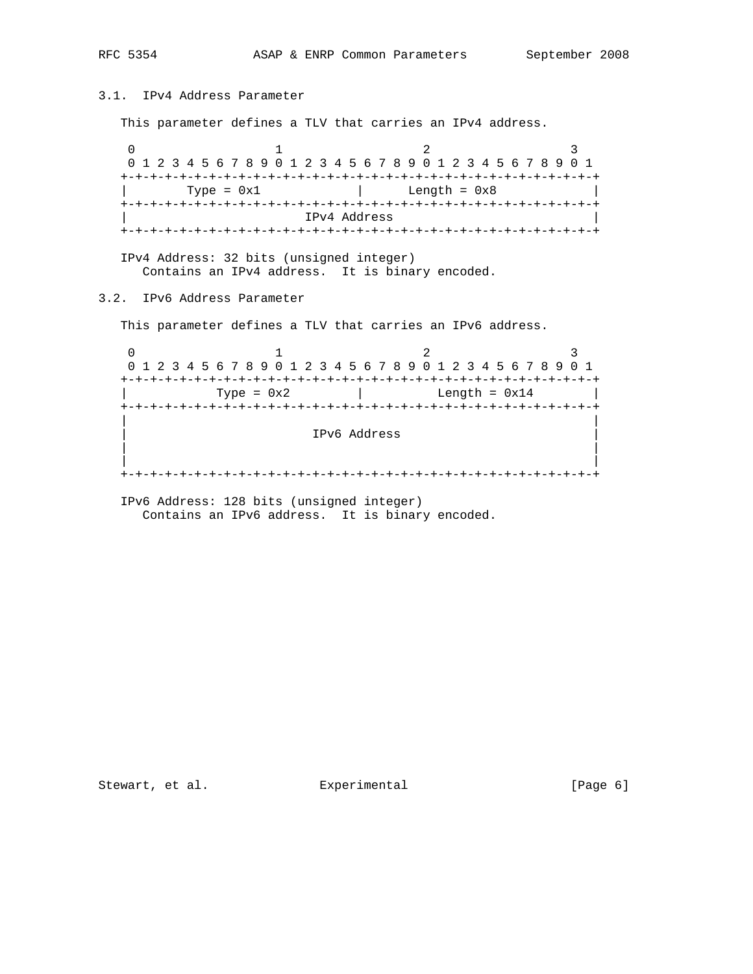+-+-+-+-+-+-+-+-+-+-+-+-+-+-+-+-+-+-+-+-+-+-+-+-+-+-+-+-+-+-+-+-+ | IPv4 Address | +-+-+-+-+-+-+-+-+-+-+-+-+-+-+-+-+-+-+-+-+-+-+-+-+-+-+-+-+-+-+-+-+ IPv4 Address: 32 bits (unsigned integer) Contains an IPv4 address. It is binary encoded. 3.2. IPv6 Address Parameter This parameter defines a TLV that carries an IPv6 address. 0  $1$  2 3 0 1 2 3 4 5 6 7 8 9 0 1 2 3 4 5 6 7 8 9 0 1 2 3 4 5 6 7 8 9 0 1 +-+-+-+-+-+-+-+-+-+-+-+-+-+-+-+-+-+-+-+-+-+-+-+-+-+-+-+-+-+-+-+-+  $Type = 0x2$  | Length =  $0x14$  | +-+-+-+-+-+-+-+-+-+-+-+-+-+-+-+-+-+-+-+-+-+-+-+-+-+-+-+-+-+-+-+-+ | | | IPv6 Address | | | | | +-+-+-+-+-+-+-+-+-+-+-+-+-+-+-+-+-+-+-+-+-+-+-+-+-+-+-+-+-+-+-+-+

 IPv6 Address: 128 bits (unsigned integer) Contains an IPv6 address. It is binary encoded.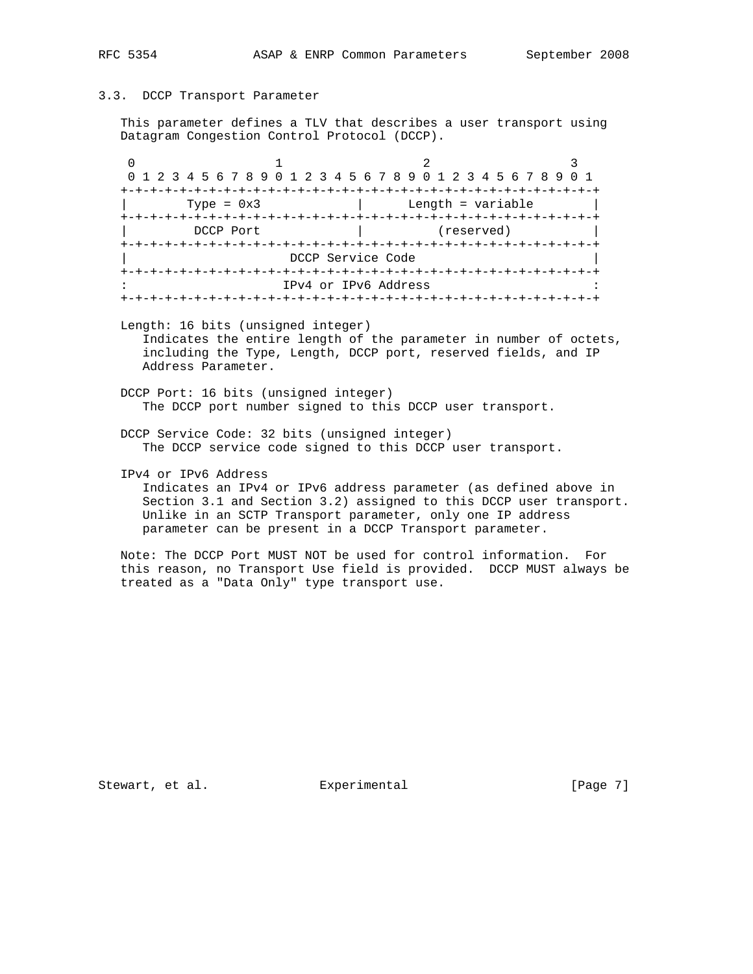#### 3.3. DCCP Transport Parameter

 This parameter defines a TLV that describes a user transport using Datagram Congestion Control Protocol (DCCP).

|              |                   | 0 1 2 3 4 5 6 7 8 9 0 1 2 3 4 5 6 7 8 9 0 1 2 3 4 5 6 7 8 9 0 1 |            |  |
|--------------|-------------------|-----------------------------------------------------------------|------------|--|
|              |                   |                                                                 |            |  |
| Type = $0x3$ |                   | Length = variable                                               |            |  |
|              |                   | $+ - + - + - + - +$                                             |            |  |
| DCCP Port    |                   |                                                                 | (reserved) |  |
|              |                   |                                                                 |            |  |
|              | DCCP Service Code |                                                                 |            |  |
|              |                   |                                                                 |            |  |
|              |                   | IPv4 or IPv6 Address                                            |            |  |
|              |                   |                                                                 |            |  |

 Length: 16 bits (unsigned integer) Indicates the entire length of the parameter in number of octets, including the Type, Length, DCCP port, reserved fields, and IP Address Parameter.

 DCCP Port: 16 bits (unsigned integer) The DCCP port number signed to this DCCP user transport.

 DCCP Service Code: 32 bits (unsigned integer) The DCCP service code signed to this DCCP user transport.

IPv4 or IPv6 Address

 Indicates an IPv4 or IPv6 address parameter (as defined above in Section 3.1 and Section 3.2) assigned to this DCCP user transport. Unlike in an SCTP Transport parameter, only one IP address parameter can be present in a DCCP Transport parameter.

 Note: The DCCP Port MUST NOT be used for control information. For this reason, no Transport Use field is provided. DCCP MUST always be treated as a "Data Only" type transport use.

Stewart, et al. Experimental [Page 7]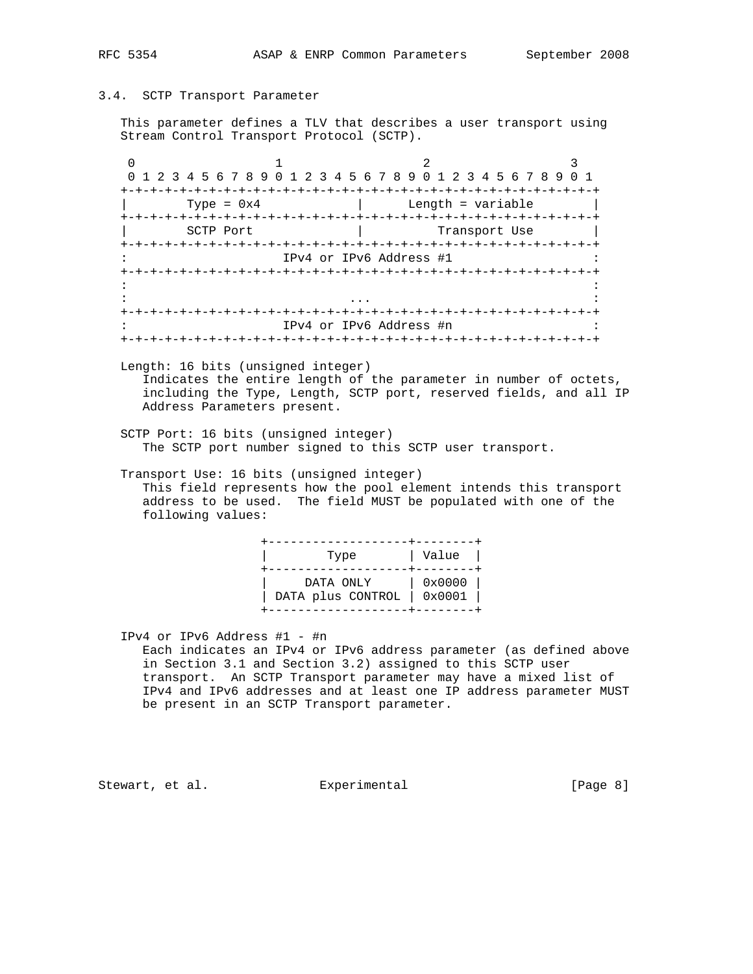#### 3.4. SCTP Transport Parameter

 This parameter defines a TLV that describes a user transport using Stream Control Transport Protocol (SCTP).

0  $1$  2 3 0 1 2 3 4 5 6 7 8 9 0 1 2 3 4 5 6 7 8 9 0 1 2 3 4 5 6 7 8 9 0 1 +-+-+-+-+-+-+-+-+-+-+-+-+-+-+-+-+-+-+-+-+-+-+-+-+-+-+-+-+-+-+-+-+  $Type = 0x4$  | Length = variable +-+-+-+-+-+-+-+-+-+-+-+-+-+-+-+-+-+-+-+-+-+-+-+-+-+-+-+-+-+-+-+-+ | SCTP Port | Transport Use +-+-+-+-+-+-+-+-+-+-+-+-+-+-+-+-+-+-+-+-+-+-+-+-+-+-+-+-+-+-+-+-+ IPv4 or IPv6 Address #1 +-+-+-+-+-+-+-+-+-+-+-+-+-+-+-+-+-+-+-+-+-+-+-+-+-+-+-+-+-+-+-+-+ in the second control of the second control of the second control of the second control of the second control o : ... : +-+-+-+-+-+-+-+-+-+-+-+-+-+-+-+-+-+-+-+-+-+-+-+-+-+-+-+-+-+-+-+-+ : IPv4 or IPv6 Address #n : +-+-+-+-+-+-+-+-+-+-+-+-+-+-+-+-+-+-+-+-+-+-+-+-+-+-+-+-+-+-+-+-+

 Length: 16 bits (unsigned integer) Indicates the entire length of the parameter in number of octets, including the Type, Length, SCTP port, reserved fields, and all IP Address Parameters present.

 SCTP Port: 16 bits (unsigned integer) The SCTP port number signed to this SCTP user transport.

 Transport Use: 16 bits (unsigned integer) This field represents how the pool element intends this transport address to be used. The field MUST be populated with one of the following values:

> +-------------------+--------+ | Type | Value | +-------------------+--------+ | DATA ONLY | 0x0000 | | DATA plus CONTROL | 0x0001 | +-------------------+--------+

IPv4 or IPv6 Address #1 - #n

 Each indicates an IPv4 or IPv6 address parameter (as defined above in Section 3.1 and Section 3.2) assigned to this SCTP user transport. An SCTP Transport parameter may have a mixed list of IPv4 and IPv6 addresses and at least one IP address parameter MUST be present in an SCTP Transport parameter.

Stewart, et al. **Experimental** Experimental [Page 8]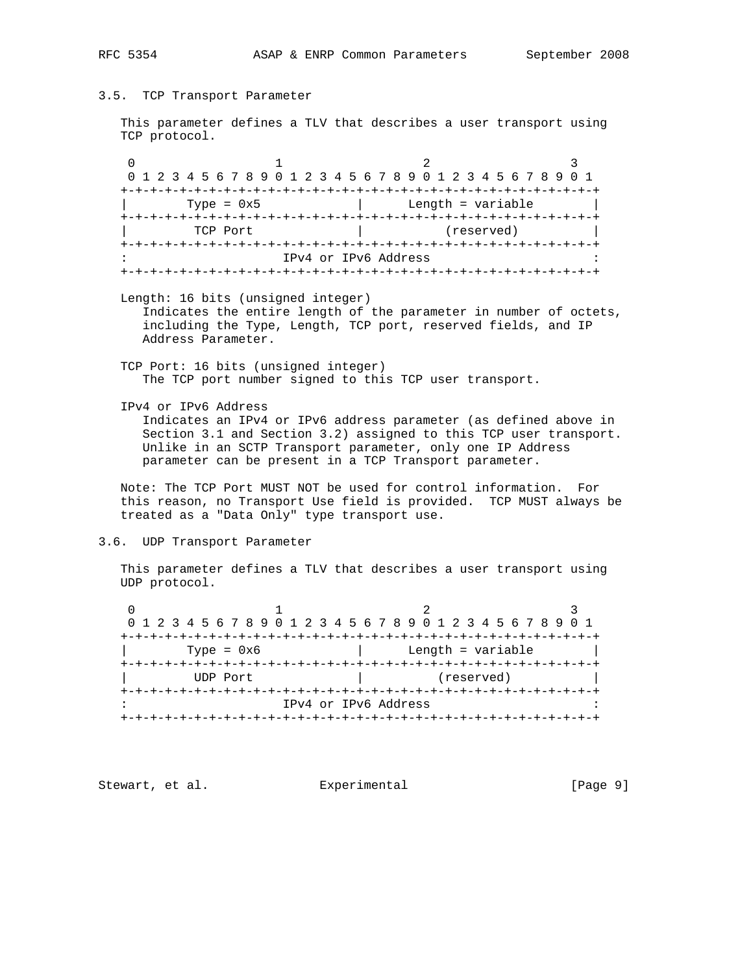#### 3.5. TCP Transport Parameter

 This parameter defines a TLV that describes a user transport using TCP protocol.

0  $1$  2 3 0 1 2 3 4 5 6 7 8 9 0 1 2 3 4 5 6 7 8 9 0 1 2 3 4 5 6 7 8 9 0 1 +-+-+-+-+-+-+-+-+-+-+-+-+-+-+-+-+-+-+-+-+-+-+-+-+-+-+-+-+-+-+-+-+ | Type = 0x5 | Length = variable | +-+-+-+-+-+-+-+-+-+-+-+-+-+-+-+-+-+-+-+-+-+-+-+-+-+-+-+-+-+-+-+-+ | TCP Port | (reserved) | +-+-+-+-+-+-+-+-+-+-+-+-+-+-+-+-+-+-+-+-+-+-+-+-+-+-+-+-+-+-+-+-+ IPv4 or IPv6 Address +-+-+-+-+-+-+-+-+-+-+-+-+-+-+-+-+-+-+-+-+-+-+-+-+-+-+-+-+-+-+-+-+

Length: 16 bits (unsigned integer)

 Indicates the entire length of the parameter in number of octets, including the Type, Length, TCP port, reserved fields, and IP Address Parameter.

 TCP Port: 16 bits (unsigned integer) The TCP port number signed to this TCP user transport.

IPv4 or IPv6 Address

 Indicates an IPv4 or IPv6 address parameter (as defined above in Section 3.1 and Section 3.2) assigned to this TCP user transport. Unlike in an SCTP Transport parameter, only one IP Address parameter can be present in a TCP Transport parameter.

 Note: The TCP Port MUST NOT be used for control information. For this reason, no Transport Use field is provided. TCP MUST always be treated as a "Data Only" type transport use.

### 3.6. UDP Transport Parameter

 This parameter defines a TLV that describes a user transport using UDP protocol.

| 0 1 2 3 4 5 6 7 8 9 0 1 2 3 4 5 6 7 8 9 0 1 2 3 4 5 6 7 8 9 0 1 |                      |                   |  |
|-----------------------------------------------------------------|----------------------|-------------------|--|
|                                                                 |                      |                   |  |
| Type = $0x6$                                                    |                      | Length = variable |  |
|                                                                 |                      |                   |  |
| UDP Port                                                        |                      | (reserved)        |  |
|                                                                 |                      |                   |  |
|                                                                 | IPv4 or IPv6 Address |                   |  |
|                                                                 |                      |                   |  |

Stewart, et al. **Experimental** [Page 9]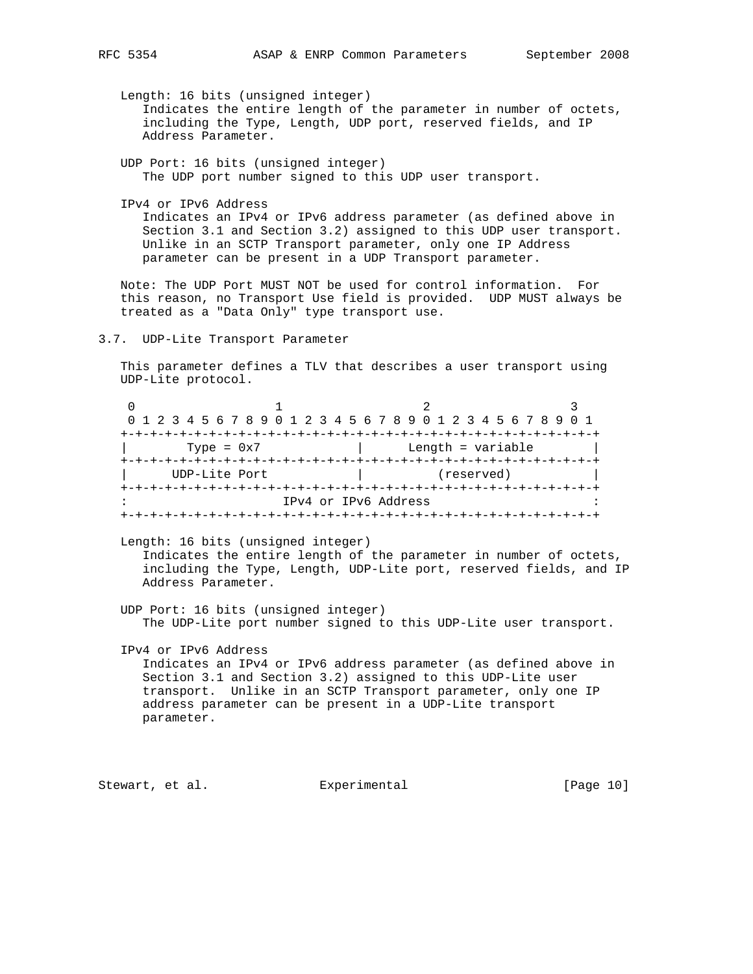Length: 16 bits (unsigned integer) Indicates the entire length of the parameter in number of octets, including the Type, Length, UDP port, reserved fields, and IP Address Parameter.

 UDP Port: 16 bits (unsigned integer) The UDP port number signed to this UDP user transport.

IPv4 or IPv6 Address

 Indicates an IPv4 or IPv6 address parameter (as defined above in Section 3.1 and Section 3.2) assigned to this UDP user transport. Unlike in an SCTP Transport parameter, only one IP Address parameter can be present in a UDP Transport parameter.

 Note: The UDP Port MUST NOT be used for control information. For this reason, no Transport Use field is provided. UDP MUST always be treated as a "Data Only" type transport use.

3.7. UDP-Lite Transport Parameter

 This parameter defines a TLV that describes a user transport using UDP-Lite protocol.

| 0 1 2 3 4 5 6 7 8 9 0 1 2 3 4 5 6 7 8 9 0 1 2 3 4 5 6 7 8 9 0 1 |                      |                                     |  |
|-----------------------------------------------------------------|----------------------|-------------------------------------|--|
|                                                                 |                      |                                     |  |
| Type = $0x7$                                                    |                      | Length = variable                   |  |
|                                                                 |                      |                                     |  |
| UDP-Lite Port                                                   |                      | (reserved)                          |  |
|                                                                 |                      | -+-+-+-+-+-+-+-+-+-+-+-+-+-+-+-+-+- |  |
|                                                                 | IPv4 or IPv6 Address |                                     |  |
|                                                                 |                      |                                     |  |

 Length: 16 bits (unsigned integer) Indicates the entire length of the parameter in number of octets, including the Type, Length, UDP-Lite port, reserved fields, and IP Address Parameter.

 UDP Port: 16 bits (unsigned integer) The UDP-Lite port number signed to this UDP-Lite user transport.

 IPv4 or IPv6 Address Indicates an IPv4 or IPv6 address parameter (as defined above in Section 3.1 and Section 3.2) assigned to this UDP-Lite user transport. Unlike in an SCTP Transport parameter, only one IP address parameter can be present in a UDP-Lite transport parameter.

Stewart, et al. Experimental [Page 10]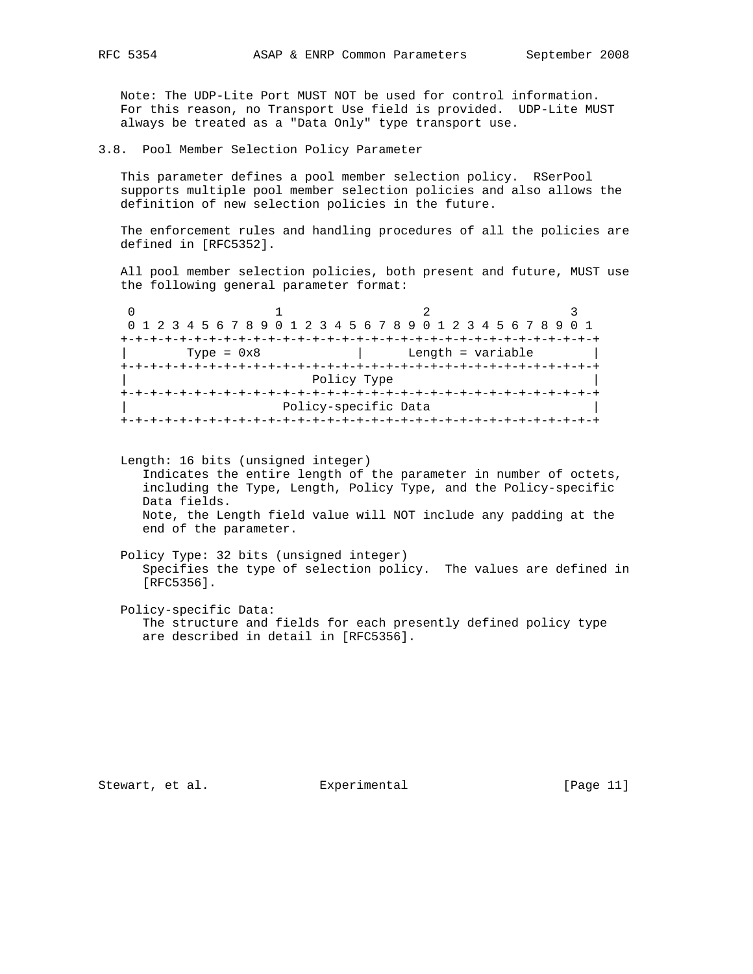Note: The UDP-Lite Port MUST NOT be used for control information. For this reason, no Transport Use field is provided. UDP-Lite MUST always be treated as a "Data Only" type transport use.

3.8. Pool Member Selection Policy Parameter

 This parameter defines a pool member selection policy. RSerPool supports multiple pool member selection policies and also allows the definition of new selection policies in the future.

 The enforcement rules and handling procedures of all the policies are defined in [RFC5352].

 All pool member selection policies, both present and future, MUST use the following general parameter format:

|              | 0 1 2 3 4 5 6 7 8 9 0 1 2 3 4 5 6 7 8 9 0 1 2 3 4 5 6 7 8 9 0 1 |  |
|--------------|-----------------------------------------------------------------|--|
|              |                                                                 |  |
| Type = $0x8$ | Length = variable                                               |  |
|              |                                                                 |  |
|              | Policy Type                                                     |  |
|              |                                                                 |  |
|              | Policy-specific Data                                            |  |
|              |                                                                 |  |

 Length: 16 bits (unsigned integer) Indicates the entire length of the parameter in number of octets, including the Type, Length, Policy Type, and the Policy-specific Data fields. Note, the Length field value will NOT include any padding at the end of the parameter.

 Policy Type: 32 bits (unsigned integer) Specifies the type of selection policy. The values are defined in [RFC5356].

 Policy-specific Data: The structure and fields for each presently defined policy type are described in detail in [RFC5356].

Stewart, et al. **Experimental** [Page 11]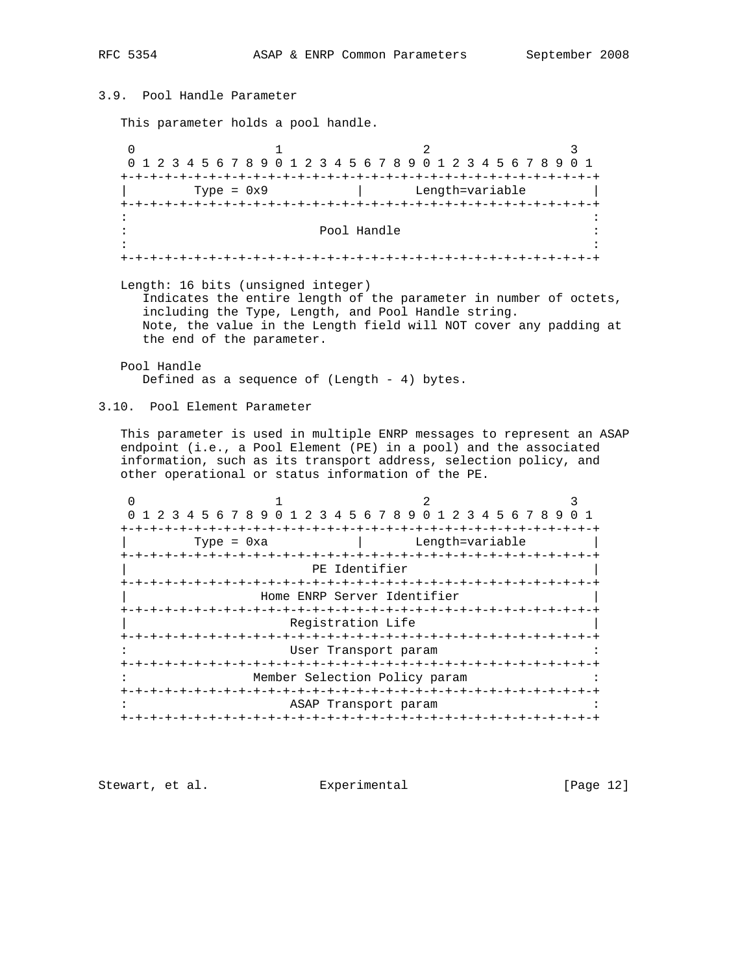3.9. Pool Handle Parameter This parameter holds a pool handle. 0  $1$  2 3 0 1 2 3 4 5 6 7 8 9 0 1 2 3 4 5 6 7 8 9 0 1 2 3 4 5 6 7 8 9 0 1 +-+-+-+-+-+-+-+-+-+-+-+-+-+-+-+-+-+-+-+-+-+-+-+-+-+-+-+-+-+-+-+-+ Type = 0x9 | Length=variable +-+-+-+-+-+-+-+-+-+-+-+-+-+-+-+-+-+-+-+-+-+-+-+-+-+-+-+-+-+-+-+-+ in the contract of the contract of the contract of the contract of the contract of the contract of the contract : Pool Handle : in the second control of the second control of the second control of the second control of the second control o +-+-+-+-+-+-+-+-+-+-+-+-+-+-+-+-+-+-+-+-+-+-+-+-+-+-+-+-+-+-+-+-+ Length: 16 bits (unsigned integer) Indicates the entire length of the parameter in number of octets, including the Type, Length, and Pool Handle string. Note, the value in the Length field will NOT cover any padding at the end of the parameter. Pool Handle Defined as a sequence of (Length - 4) bytes. 3.10. Pool Element Parameter This parameter is used in multiple ENRP messages to represent an ASAP endpoint (i.e., a Pool Element (PE) in a pool) and the associated information, such as its transport address, selection policy, and other operational or status information of the PE. 0  $1$  2 3 0 1 2 3 4 5 6 7 8 9 0 1 2 3 4 5 6 7 8 9 0 1 2 3 4 5 6 7 8 9 0 1 +-+-+-+-+-+-+-+-+-+-+-+-+-+-+-+-+-+-+-+-+-+-+-+-+-+-+-+-+-+-+-+-+ Type = 0xa | Length=variable +-+-+-+-+-+-+-+-+-+-+-+-+-+-+-+-+-+-+-+-+-+-+-+-+-+-+-+-+-+-+-+-+ PE Identifier +-+-+-+-+-+-+-+-+-+-+-+-+-+-+-+-+-+-+-+-+-+-+-+-+-+-+-+-+-+-+-+-+ Home ENRP Server Identifier +-+-+-+-+-+-+-+-+-+-+-+-+-+-+-+-+-+-+-+-+-+-+-+-+-+-+-+-+-+-+-+-+ Registration Life +-+-+-+-+-+-+-+-+-+-+-+-+-+-+-+-+-+-+-+-+-+-+-+-+-+-+-+-+-+-+-+-+ User Transport param +-+-+-+-+-+-+-+-+-+-+-+-+-+-+-+-+-+-+-+-+-+-+-+-+-+-+-+-+-+-+-+-+ Member Selection Policy param +-+-+-+-+-+-+-+-+-+-+-+-+-+-+-+-+-+-+-+-+-+-+-+-+-+-+-+-+-+-+-+-+ ASAP Transport param +-+-+-+-+-+-+-+-+-+-+-+-+-+-+-+-+-+-+-+-+-+-+-+-+-+-+-+-+-+-+-+-+

Stewart, et al. Experimental [Page 12]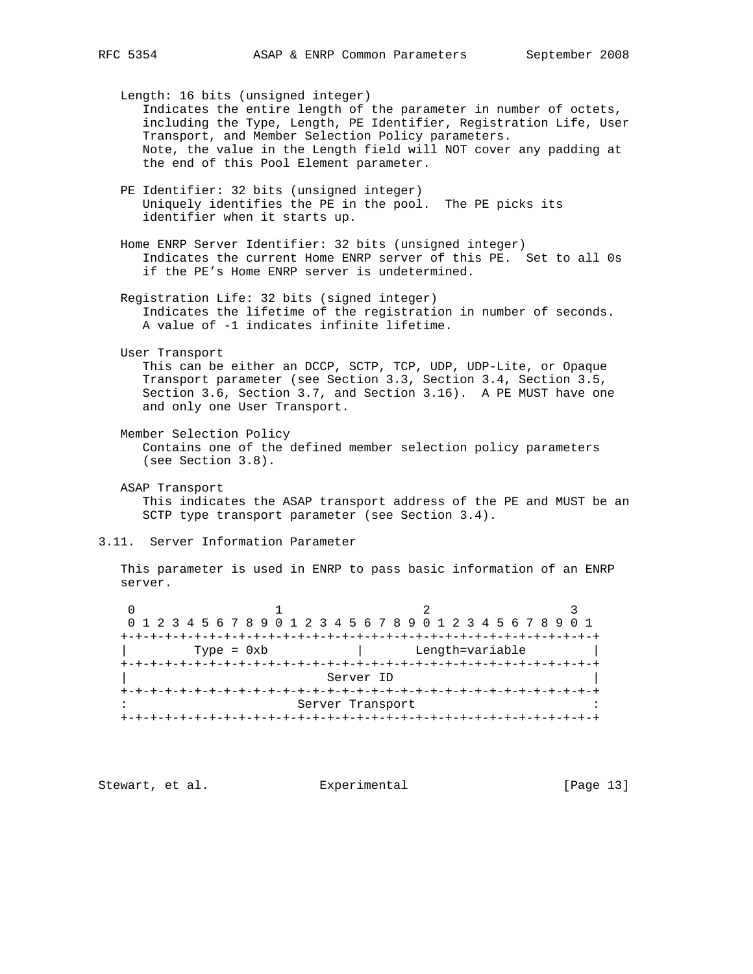Length: 16 bits (unsigned integer) Indicates the entire length of the parameter in number of octets, including the Type, Length, PE Identifier, Registration Life, User Transport, and Member Selection Policy parameters. Note, the value in the Length field will NOT cover any padding at the end of this Pool Element parameter. PE Identifier: 32 bits (unsigned integer) Uniquely identifies the PE in the pool. The PE picks its identifier when it starts up. Home ENRP Server Identifier: 32 bits (unsigned integer) Indicates the current Home ENRP server of this PE. Set to all 0s if the PE's Home ENRP server is undetermined. Registration Life: 32 bits (signed integer) Indicates the lifetime of the registration in number of seconds. A value of -1 indicates infinite lifetime. User Transport This can be either an DCCP, SCTP, TCP, UDP, UDP-Lite, or Opaque Transport parameter (see Section 3.3, Section 3.4, Section 3.5, Section 3.6, Section 3.7, and Section 3.16). A PE MUST have one and only one User Transport. Member Selection Policy Contains one of the defined member selection policy parameters (see Section 3.8). ASAP Transport This indicates the ASAP transport address of the PE and MUST be an SCTP type transport parameter (see Section 3.4). 3.11. Server Information Parameter This parameter is used in ENRP to pass basic information of an ENRP server. 0  $1$  2 3 0 1 2 3 4 5 6 7 8 9 0 1 2 3 4 5 6 7 8 9 0 1 2 3 4 5 6 7 8 9 0 1 +-+-+-+-+-+-+-+-+-+-+-+-+-+-+-+-+-+-+-+-+-+-+-+-+-+-+-+-+-+-+-+-+ | Type = 0xb | Length=variable | +-+-+-+-+-+-+-+-+-+-+-+-+-+-+-+-+-+-+-+-+-+-+-+-+-+-+-+-+-+-+-+-+ | Server ID | +-+-+-+-+-+-+-+-+-+-+-+-+-+-+-+-+-+-+-+-+-+-+-+-+-+-+-+-+-+-+-+-+

Stewart, et al. Experimental [Page 13]

+-+-+-+-+-+-+-+-+-+-+-+-+-+-+-+-+-+-+-+-+-+-+-+-+-+-+-+-+-+-+-+-+

: Server Transport :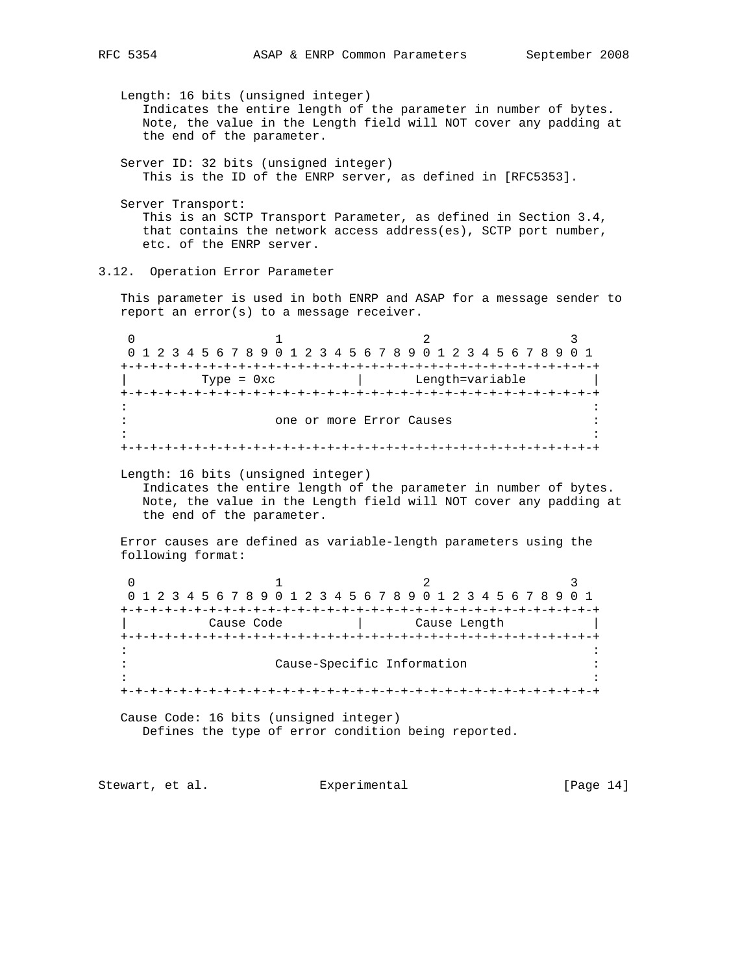Length: 16 bits (unsigned integer) Indicates the entire length of the parameter in number of bytes. Note, the value in the Length field will NOT cover any padding at the end of the parameter. Server ID: 32 bits (unsigned integer) This is the ID of the ENRP server, as defined in [RFC5353]. Server Transport: This is an SCTP Transport Parameter, as defined in Section 3.4, that contains the network access address(es), SCTP port number, etc. of the ENRP server. 3.12. Operation Error Parameter This parameter is used in both ENRP and ASAP for a message sender to report an error(s) to a message receiver. 0  $1$  2 3 0 1 2 3 4 5 6 7 8 9 0 1 2 3 4 5 6 7 8 9 0 1 2 3 4 5 6 7 8 9 0 1 +-+-+-+-+-+-+-+-+-+-+-+-+-+-+-+-+-+-+-+-+-+-+-+-+-+-+-+-+-+-+-+-+ | Type = 0xc | Length=variable | +-+-+-+-+-+-+-+-+-+-+-+-+-+-+-+-+-+-+-+-+-+-+-+-+-+-+-+-+-+-+-+-+ in the second control of the second control of the second control of the second control of the second control o : one or more Error Causes : in the contract of the contract of the contract of the contract of the contract of the contract of the contract +-+-+-+-+-+-+-+-+-+-+-+-+-+-+-+-+-+-+-+-+-+-+-+-+-+-+-+-+-+-+-+-+ Length: 16 bits (unsigned integer) Indicates the entire length of the parameter in number of bytes. Note, the value in the Length field will NOT cover any padding at the end of the parameter. Error causes are defined as variable-length parameters using the following format: 0  $1$  2 3 0 1 2 3 4 5 6 7 8 9 0 1 2 3 4 5 6 7 8 9 0 1 2 3 4 5 6 7 8 9 0 1 +-+-+-+-+-+-+-+-+-+-+-+-+-+-+-+-+-+-+-+-+-+-+-+-+-+-+-+-+-+-+-+-+ | Cause Code | Cause Length | +-+-+-+-+-+-+-+-+-+-+-+-+-+-+-+-+-+-+-+-+-+-+-+-+-+-+-+-+-+-+-+-+ in the second control of the second control of the second control of the second control of the second control o : Cause-Specific Information : in the contract of the contract of the contract of the contract of the contract of the contract of the contract +-+-+-+-+-+-+-+-+-+-+-+-+-+-+-+-+-+-+-+-+-+-+-+-+-+-+-+-+-+-+-+-+ Cause Code: 16 bits (unsigned integer) Defines the type of error condition being reported. Stewart, et al. **Experimental** [Page 14]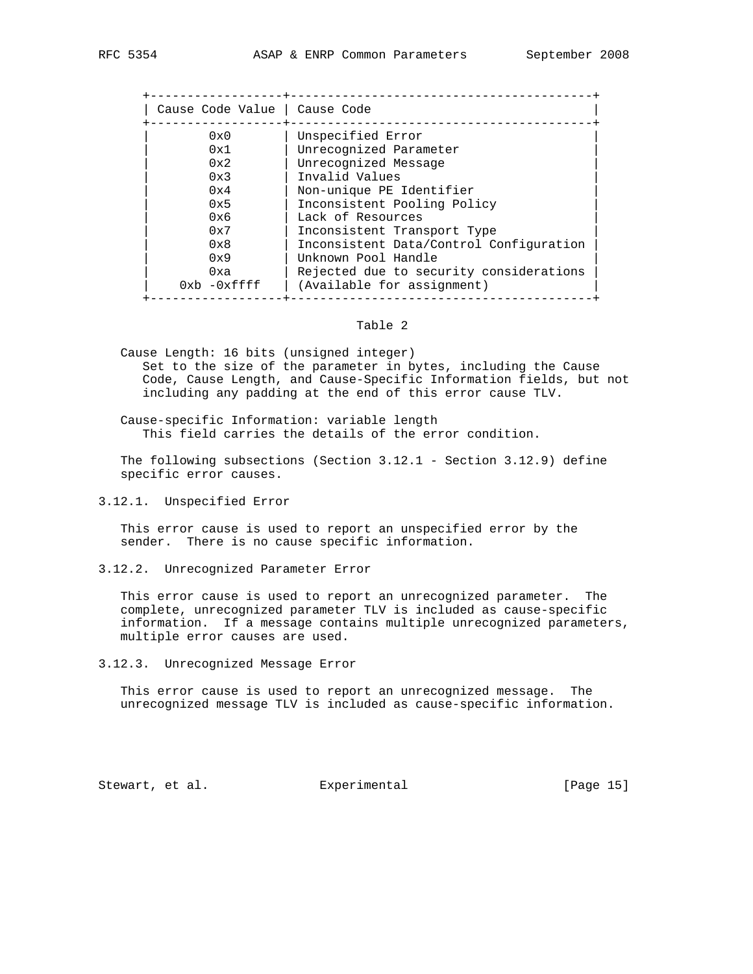| Cause Code Value   Cause Code |                                         |
|-------------------------------|-----------------------------------------|
| $0 \times 0$                  | Unspecified Error                       |
| 0x1                           | Unrecognized Parameter                  |
| 0x2                           | Unrecognized Message                    |
| 0x3                           | Invalid Values                          |
| 0x4                           | Non-unique PE Identifier                |
| 0x5                           | Inconsistent Pooling Policy             |
| 0x6                           | Lack of Resources                       |
| 0x7                           | Inconsistent Transport Type             |
| $0 \times 8$                  | Inconsistent Data/Control Configuration |
| 0x9                           | Unknown Pool Handle                     |
| 0xa                           | Rejected due to security considerations |
| $0xh - 0xffff$                | (Available for assignment)              |

## Table 2

 Cause Length: 16 bits (unsigned integer) Set to the size of the parameter in bytes, including the Cause Code, Cause Length, and Cause-Specific Information fields, but not including any padding at the end of this error cause TLV.

 Cause-specific Information: variable length This field carries the details of the error condition.

 The following subsections (Section 3.12.1 - Section 3.12.9) define specific error causes.

3.12.1. Unspecified Error

 This error cause is used to report an unspecified error by the sender. There is no cause specific information.

3.12.2. Unrecognized Parameter Error

 This error cause is used to report an unrecognized parameter. The complete, unrecognized parameter TLV is included as cause-specific information. If a message contains multiple unrecognized parameters, multiple error causes are used.

3.12.3. Unrecognized Message Error

 This error cause is used to report an unrecognized message. The unrecognized message TLV is included as cause-specific information.

Stewart, et al. **Experimental** [Page 15]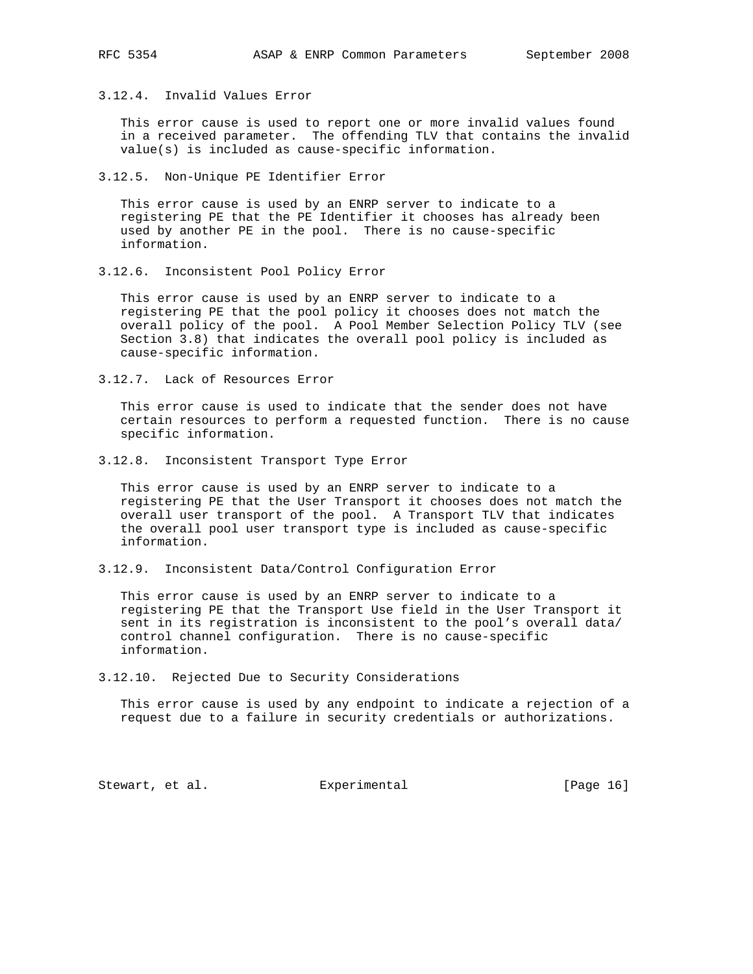3.12.4. Invalid Values Error

 This error cause is used to report one or more invalid values found in a received parameter. The offending TLV that contains the invalid value(s) is included as cause-specific information.

3.12.5. Non-Unique PE Identifier Error

 This error cause is used by an ENRP server to indicate to a registering PE that the PE Identifier it chooses has already been used by another PE in the pool. There is no cause-specific information.

3.12.6. Inconsistent Pool Policy Error

 This error cause is used by an ENRP server to indicate to a registering PE that the pool policy it chooses does not match the overall policy of the pool. A Pool Member Selection Policy TLV (see Section 3.8) that indicates the overall pool policy is included as cause-specific information.

3.12.7. Lack of Resources Error

 This error cause is used to indicate that the sender does not have certain resources to perform a requested function. There is no cause specific information.

3.12.8. Inconsistent Transport Type Error

 This error cause is used by an ENRP server to indicate to a registering PE that the User Transport it chooses does not match the overall user transport of the pool. A Transport TLV that indicates the overall pool user transport type is included as cause-specific information.

3.12.9. Inconsistent Data/Control Configuration Error

 This error cause is used by an ENRP server to indicate to a registering PE that the Transport Use field in the User Transport it sent in its registration is inconsistent to the pool's overall data/ control channel configuration. There is no cause-specific information.

3.12.10. Rejected Due to Security Considerations

 This error cause is used by any endpoint to indicate a rejection of a request due to a failure in security credentials or authorizations.

Stewart, et al. Experimental [Page 16]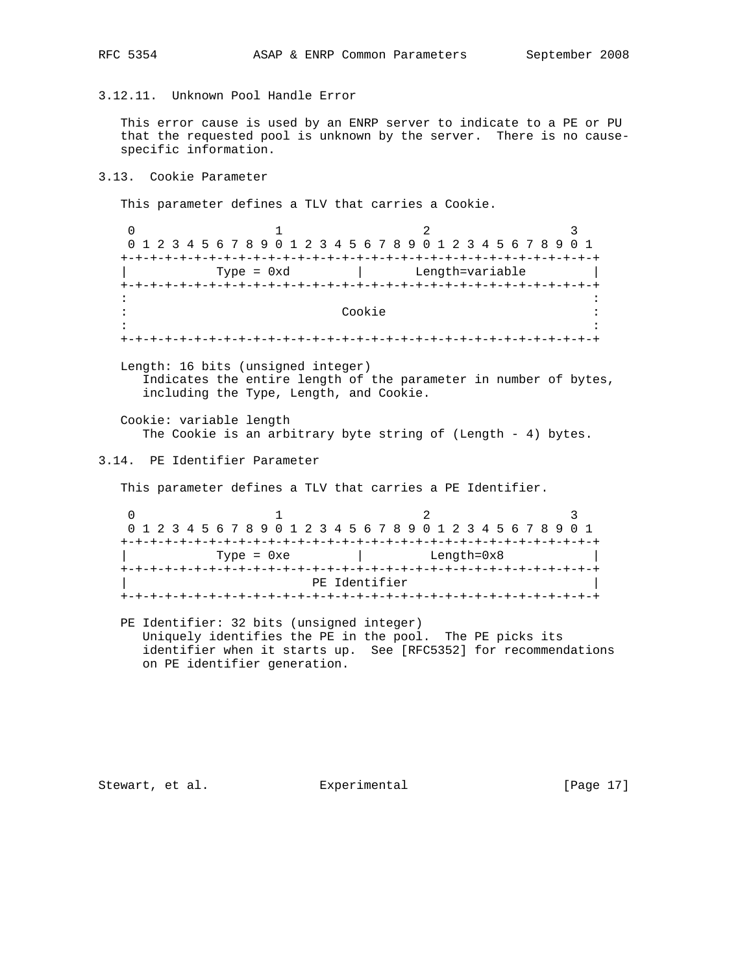3.12.11. Unknown Pool Handle Error

 This error cause is used by an ENRP server to indicate to a PE or PU that the requested pool is unknown by the server. There is no cause specific information.

3.13. Cookie Parameter

This parameter defines a TLV that carries a Cookie.

0  $1$  2 3 0 1 2 3 4 5 6 7 8 9 0 1 2 3 4 5 6 7 8 9 0 1 2 3 4 5 6 7 8 9 0 1 +-+-+-+-+-+-+-+-+-+-+-+-+-+-+-+-+-+-+-+-+-+-+-+-+-+-+-+-+-+-+-+-+ Type = 0xd | Length=variable +-+-+-+-+-+-+-+-+-+-+-+-+-+-+-+-+-+-+-+-+-+-+-+-+-+-+-+-+-+-+-+-+ in the contract of the contract of the contract of the contract of the contract of the contract of the contract : Cookie : in the second control of the second control of the second control of the second control of the second control o +-+-+-+-+-+-+-+-+-+-+-+-+-+-+-+-+-+-+-+-+-+-+-+-+-+-+-+-+-+-+-+-+ Length: 16 bits (unsigned integer) Indicates the entire length of the parameter in number of bytes, including the Type, Length, and Cookie. Cookie: variable length The Cookie is an arbitrary byte string of (Length - 4) bytes. 3.14. PE Identifier Parameter This parameter defines a TLV that carries a PE Identifier. 0  $1$  2 3 0 1 2 3 4 5 6 7 8 9 0 1 2 3 4 5 6 7 8 9 0 1 2 3 4 5 6 7 8 9 0 1 +-+-+-+-+-+-+-+-+-+-+-+-+-+-+-+-+-+-+-+-+-+-+-+-+-+-+-+-+-+-+-+-+ | Type = 0xe | Length=0x8 | +-+-+-+-+-+-+-+-+-+-+-+-+-+-+-+-+-+-+-+-+-+-+-+-+-+-+-+-+-+-+-+-+ PE Identifier +-+-+-+-+-+-+-+-+-+-+-+-+-+-+-+-+-+-+-+-+-+-+-+-+-+-+-+-+-+-+-+-+

 PE Identifier: 32 bits (unsigned integer) Uniquely identifies the PE in the pool. The PE picks its identifier when it starts up. See [RFC5352] for recommendations on PE identifier generation.

Stewart, et al. Experimental [Page 17]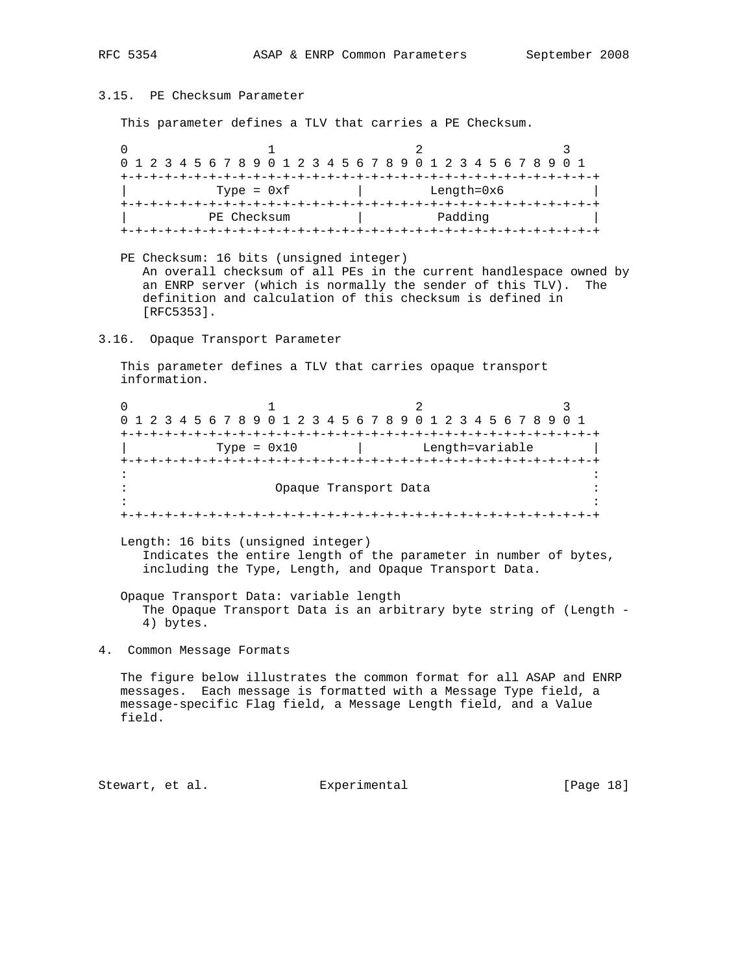3.15. PE Checksum Parameter

This parameter defines a TLV that carries a PE Checksum.

0  $1$  2 3 0 1 2 3 4 5 6 7 8 9 0 1 2 3 4 5 6 7 8 9 0 1 2 3 4 5 6 7 8 9 0 1 +-+-+-+-+-+-+-+-+-+-+-+-+-+-+-+-+-+-+-+-+-+-+-+-+-+-+-+-+-+-+-+-+  $Type = 0xf$  | Length=0x6 +-+-+-+-+-+-+-+-+-+-+-+-+-+-+-+-+-+-+-+-+-+-+-+-+-+-+-+-+-+-+-+-+ PE Checksum | Padding +-+-+-+-+-+-+-+-+-+-+-+-+-+-+-+-+-+-+-+-+-+-+-+-+-+-+-+-+-+-+-+-+

 PE Checksum: 16 bits (unsigned integer) An overall checksum of all PEs in the current handlespace owned by an ENRP server (which is normally the sender of this TLV). The definition and calculation of this checksum is defined in [RFC5353].

3.16. Opaque Transport Parameter

 This parameter defines a TLV that carries opaque transport information.

0  $1$  2 3 0 1 2 3 4 5 6 7 8 9 0 1 2 3 4 5 6 7 8 9 0 1 2 3 4 5 6 7 8 9 0 1 +-+-+-+-+-+-+-+-+-+-+-+-+-+-+-+-+-+-+-+-+-+-+-+-+-+-+-+-+-+-+-+-+ | Type = 0x10 | Length=variable | +-+-+-+-+-+-+-+-+-+-+-+-+-+-+-+-+-+-+-+-+-+-+-+-+-+-+-+-+-+-+-+-+ in the contract of the contract of the contract of the contract of the contract of the contract of the contract Opaque Transport Data in the contract of the contract of the contract of the contract of the contract of the contract of the contract +-+-+-+-+-+-+-+-+-+-+-+-+-+-+-+-+-+-+-+-+-+-+-+-+-+-+-+-+-+-+-+-+ Length: 16 bits (unsigned integer)

 Indicates the entire length of the parameter in number of bytes, including the Type, Length, and Opaque Transport Data.

 Opaque Transport Data: variable length The Opaque Transport Data is an arbitrary byte string of (Length - 4) bytes.

4. Common Message Formats

 The figure below illustrates the common format for all ASAP and ENRP messages. Each message is formatted with a Message Type field, a message-specific Flag field, a Message Length field, and a Value field.

Stewart, et al. **Experimental** [Page 18]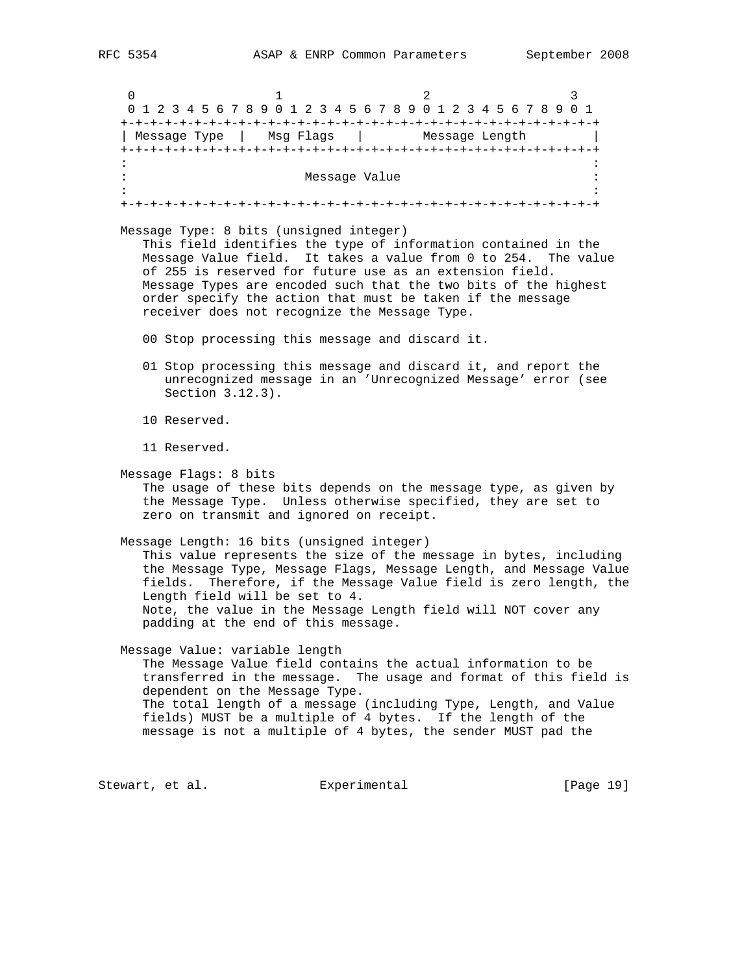0  $1$  2 3 0 1 2 3 4 5 6 7 8 9 0 1 2 3 4 5 6 7 8 9 0 1 2 3 4 5 6 7 8 9 0 1 +-+-+-+-+-+-+-+-+-+-+-+-+-+-+-+-+-+-+-+-+-+-+-+-+-+-+-+-+-+-+-+-+ | Message Type | Msg Flags | Message Length | +-+-+-+-+-+-+-+-+-+-+-+-+-+-+-+-+-+-+-+-+-+-+-+-+-+-+-+-+-+-+-+-+ in the second control of the second control of the second control of the second control of the second control o Message Value in the state of the state of the state of the state of the state of the state of the state of the state of the state of the state of the state of the state of the state of the state of the state of the state in the contract of the contract of the contract of the contract of the contract of the contract of the contract +-+-+-+-+-+-+-+-+-+-+-+-+-+-+-+-+-+-+-+-+-+-+-+-+-+-+-+-+-+-+-+-+ Message Type: 8 bits (unsigned integer) This field identifies the type of information contained in the Message Value field. It takes a value from 0 to 254. The value of 255 is reserved for future use as an extension field. Message Types are encoded such that the two bits of the highest order specify the action that must be taken if the message receiver does not recognize the Message Type. 00 Stop processing this message and discard it. 01 Stop processing this message and discard it, and report the unrecognized message in an 'Unrecognized Message' error (see Section 3.12.3). 10 Reserved. 11 Reserved. Message Flags: 8 bits The usage of these bits depends on the message type, as given by the Message Type. Unless otherwise specified, they are set to zero on transmit and ignored on receipt. Message Length: 16 bits (unsigned integer) This value represents the size of the message in bytes, including the Message Type, Message Flags, Message Length, and Message Value fields. Therefore, if the Message Value field is zero length, the Length field will be set to 4. Note, the value in the Message Length field will NOT cover any padding at the end of this message. Message Value: variable length The Message Value field contains the actual information to be transferred in the message. The usage and format of this field is dependent on the Message Type. The total length of a message (including Type, Length, and Value fields) MUST be a multiple of 4 bytes. If the length of the message is not a multiple of 4 bytes, the sender MUST pad the

Stewart, et al. **Experimental** [Page 19]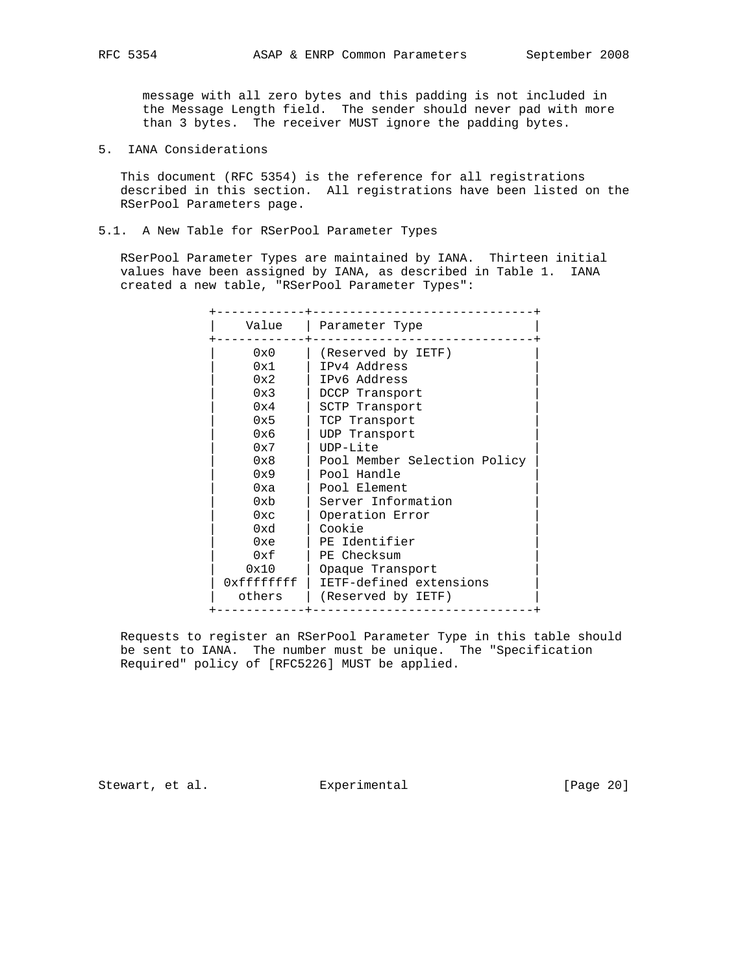message with all zero bytes and this padding is not included in the Message Length field. The sender should never pad with more than 3 bytes. The receiver MUST ignore the padding bytes.

5. IANA Considerations

 This document (RFC 5354) is the reference for all registrations described in this section. All registrations have been listed on the RSerPool Parameters page.

5.1. A New Table for RSerPool Parameter Types

 RSerPool Parameter Types are maintained by IANA. Thirteen initial values have been assigned by IANA, as described in Table 1. IANA created a new table, "RSerPool Parameter Types":

| Value      | Parameter Type               |
|------------|------------------------------|
| 0x0        | (Reserved by IETF)           |
| 0x1        | IPv4 Address                 |
| 0x2        | IPv6 Address                 |
| 0x3        | DCCP Transport               |
| 0x4        | SCTP Transport               |
| 0x5        | TCP Transport                |
| 0x6        | UDP Transport                |
| 0x7        | $IDP-Lite$                   |
| 0x8        | Pool Member Selection Policy |
| 0x9        | Pool Handle                  |
| 0xa        | Pool Element                 |
| 0x         | Server Information           |
| 0xc        | Operation Error              |
| 0xd        | Cookie                       |
| 0xe        | PE Identifier                |
| 0xf        | PE Checksum                  |
| 0x10       | Opaque Transport             |
| 0xffffffff | IETF-defined extensions      |
| others     | (Reserved by IETF)           |
|            |                              |

 Requests to register an RSerPool Parameter Type in this table should be sent to IANA. The number must be unique. The "Specification Required" policy of [RFC5226] MUST be applied.

Stewart, et al. Experimental [Page 20]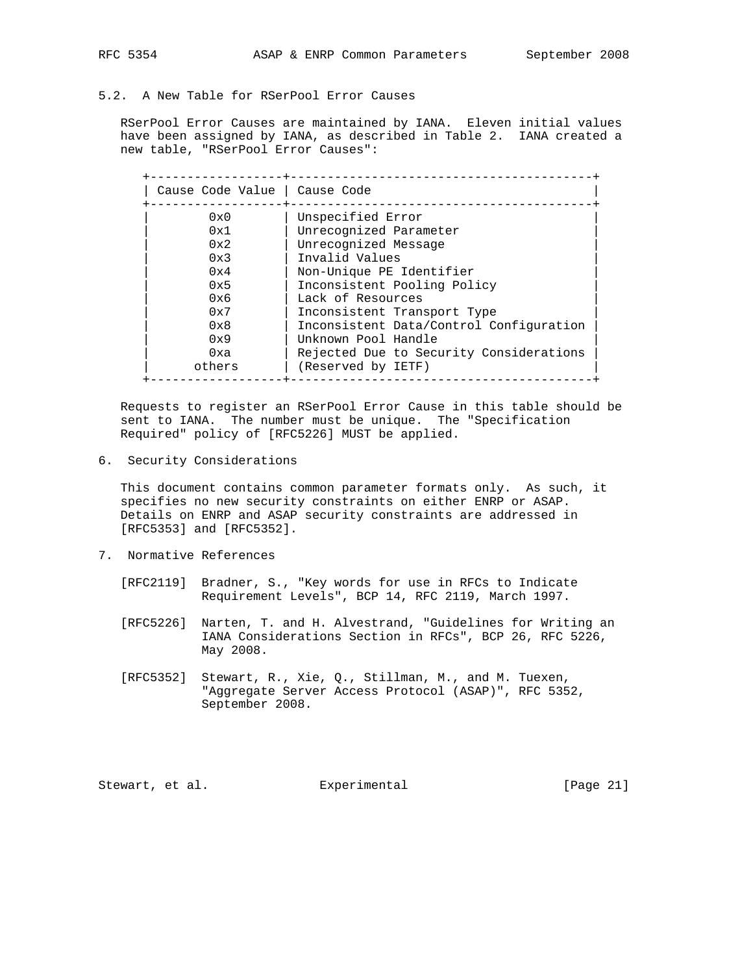5.2. A New Table for RSerPool Error Causes

 RSerPool Error Causes are maintained by IANA. Eleven initial values have been assigned by IANA, as described in Table 2. IANA created a new table, "RSerPool Error Causes":

| Cause Code Value   Cause Code |                                         |
|-------------------------------|-----------------------------------------|
| 0x0                           | Unspecified Error                       |
| 0x1                           | Unrecognized Parameter                  |
| 0x2                           | Unrecognized Message                    |
| 0x3                           | Invalid Values                          |
| 0x4                           | Non-Unique PE Identifier                |
| 0x5                           | Inconsistent Pooling Policy             |
| 0x6                           | Lack of Resources                       |
| 0x7                           | Inconsistent Transport Type             |
| 0x8                           | Inconsistent Data/Control Configuration |
| 0x9                           | Unknown Pool Handle                     |
| 0xa                           | Rejected Due to Security Considerations |
| others                        | (Reserved by IETF)                      |

 Requests to register an RSerPool Error Cause in this table should be sent to IANA. The number must be unique. The "Specification Required" policy of [RFC5226] MUST be applied.

6. Security Considerations

 This document contains common parameter formats only. As such, it specifies no new security constraints on either ENRP or ASAP. Details on ENRP and ASAP security constraints are addressed in [RFC5353] and [RFC5352].

- 7. Normative References
	- [RFC2119] Bradner, S., "Key words for use in RFCs to Indicate Requirement Levels", BCP 14, RFC 2119, March 1997.
	- [RFC5226] Narten, T. and H. Alvestrand, "Guidelines for Writing an IANA Considerations Section in RFCs", BCP 26, RFC 5226, May 2008.
	- [RFC5352] Stewart, R., Xie, Q., Stillman, M., and M. Tuexen, "Aggregate Server Access Protocol (ASAP)", RFC 5352, September 2008.

Stewart, et al. Experimental [Page 21]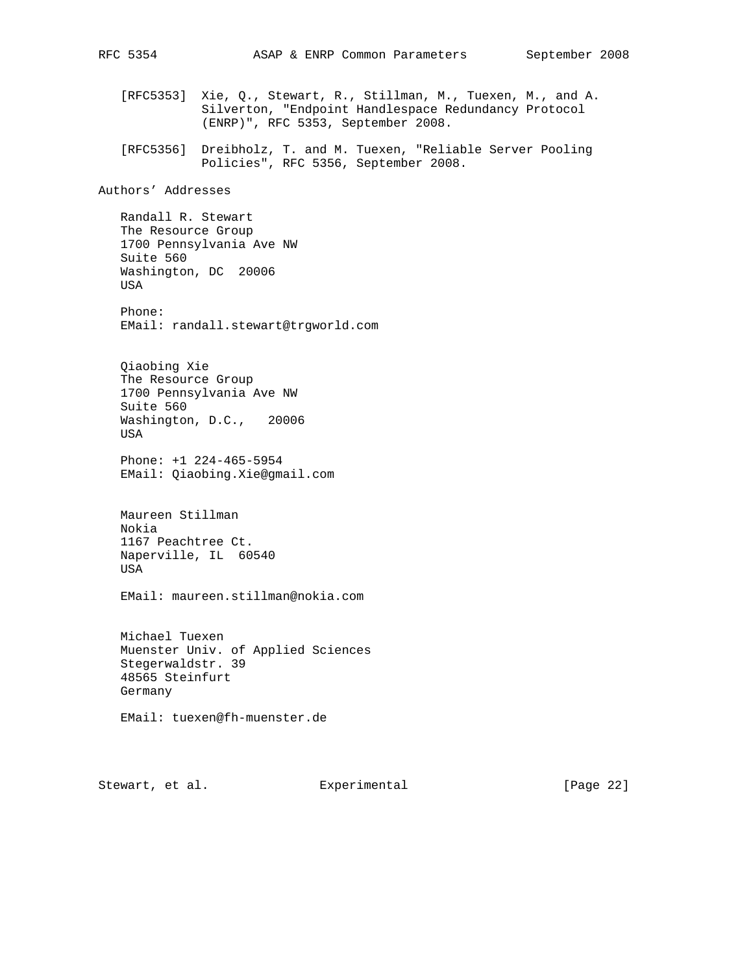[RFC5353] Xie, Q., Stewart, R., Stillman, M., Tuexen, M., and A. Silverton, "Endpoint Handlespace Redundancy Protocol (ENRP)", RFC 5353, September 2008.

 [RFC5356] Dreibholz, T. and M. Tuexen, "Reliable Server Pooling Policies", RFC 5356, September 2008.

Authors' Addresses

 Randall R. Stewart The Resource Group 1700 Pennsylvania Ave NW Suite 560 Washington, DC 20006 USA

 Phone: EMail: randall.stewart@trgworld.com

 Qiaobing Xie The Resource Group 1700 Pennsylvania Ave NW Suite 560 Washington, D.C., 20006 USA

 Phone: +1 224-465-5954 EMail: Qiaobing.Xie@gmail.com

 Maureen Stillman Nokia 1167 Peachtree Ct. Naperville, IL 60540 USA

EMail: maureen.stillman@nokia.com

 Michael Tuexen Muenster Univ. of Applied Sciences Stegerwaldstr. 39 48565 Steinfurt Germany

EMail: tuexen@fh-muenster.de

Stewart, et al. Experimental [Page 22]